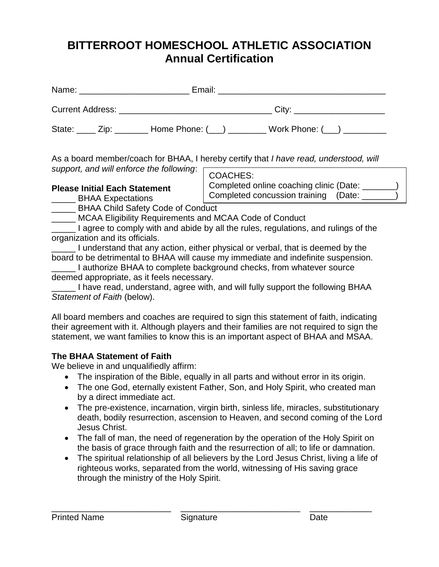# **BITTERROOT HOMESCHOOL ATHLETIC ASSOCIATION Annual Certification**

|  | State: <u>Zip:</u> Home Phone: (i) Work Phone: (i) |
|--|----------------------------------------------------|

As a board member/coach for BHAA, I hereby certify that *I have read, understood, will support, and will enforce the following*:

# **Please Initial Each Statement**

COACHES:

Completed online coaching clinic (Date: Completed concussion training (Date: \_\_\_\_\_\_\_)

**EXPECTALL**<br> **BHAA Expectations** 

\_\_\_\_\_ BHAA Child Safety Code of Conduct

\_\_\_\_\_ MCAA Eligibility Requirements and MCAA Code of Conduct

**I agree to comply with and abide by all the rules, regulations, and rulings of the** organization and its officials.

\_\_\_\_\_ I understand that any action, either physical or verbal, that is deemed by the board to be detrimental to BHAA will cause my immediate and indefinite suspension.

\_\_\_\_\_ I authorize BHAA to complete background checks, from whatever source deemed appropriate, as it feels necessary.

\_\_\_\_\_ I have read, understand, agree with, and will fully support the following BHAA *Statement of Faith* (below).

All board members and coaches are required to sign this statement of faith, indicating their agreement with it. Although players and their families are not required to sign the statement, we want families to know this is an important aspect of BHAA and MSAA.

# **The BHAA Statement of Faith**

We believe in and unqualifiedly affirm:

- The inspiration of the Bible, equally in all parts and without error in its origin.
- The one God, eternally existent Father, Son, and Holy Spirit, who created man by a direct immediate act.
- The pre-existence, incarnation, virgin birth, sinless life, miracles, substitutionary death, bodily resurrection, ascension to Heaven, and second coming of the Lord Jesus Christ.
- The fall of man, the need of regeneration by the operation of the Holy Spirit on the basis of grace through faith and the resurrection of all; to life or damnation.
- The spiritual relationship of all believers by the Lord Jesus Christ, living a life of righteous works, separated from the world, witnessing of His saving grace through the ministry of the Holy Spirit.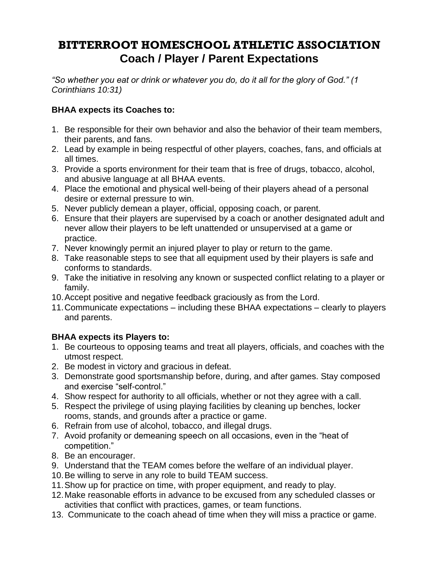# **BITTERROOT HOMESCHOOL ATHLETIC ASSOCIATION Coach / Player / Parent Expectations**

*"So whether you eat or drink or whatever you do, do it all for the glory of God." (1 Corinthians 10:31)*

# **BHAA expects its Coaches to:**

- 1. Be responsible for their own behavior and also the behavior of their team members, their parents, and fans.
- 2. Lead by example in being respectful of other players, coaches, fans, and officials at all times.
- 3. Provide a sports environment for their team that is free of drugs, tobacco, alcohol, and abusive language at all BHAA events.
- 4. Place the emotional and physical well-being of their players ahead of a personal desire or external pressure to win.
- 5. Never publicly demean a player, official, opposing coach, or parent.
- 6. Ensure that their players are supervised by a coach or another designated adult and never allow their players to be left unattended or unsupervised at a game or practice.
- 7. Never knowingly permit an injured player to play or return to the game.
- 8. Take reasonable steps to see that all equipment used by their players is safe and conforms to standards.
- 9. Take the initiative in resolving any known or suspected conflict relating to a player or family.
- 10.Accept positive and negative feedback graciously as from the Lord.
- 11.Communicate expectations including these BHAA expectations clearly to players and parents.

# **BHAA expects its Players to:**

- 1. Be courteous to opposing teams and treat all players, officials, and coaches with the utmost respect.
- 2. Be modest in victory and gracious in defeat.
- 3. Demonstrate good sportsmanship before, during, and after games. Stay composed and exercise "self-control."
- 4. Show respect for authority to all officials, whether or not they agree with a call.
- 5. Respect the privilege of using playing facilities by cleaning up benches, locker rooms, stands, and grounds after a practice or game.
- 6. Refrain from use of alcohol, tobacco, and illegal drugs.
- 7. Avoid profanity or demeaning speech on all occasions, even in the "heat of competition."
- 8. Be an encourager.
- 9. Understand that the TEAM comes before the welfare of an individual player.
- 10.Be willing to serve in any role to build TEAM success.
- 11.Show up for practice on time, with proper equipment, and ready to play.
- 12.Make reasonable efforts in advance to be excused from any scheduled classes or activities that conflict with practices, games, or team functions.
- 13. Communicate to the coach ahead of time when they will miss a practice or game.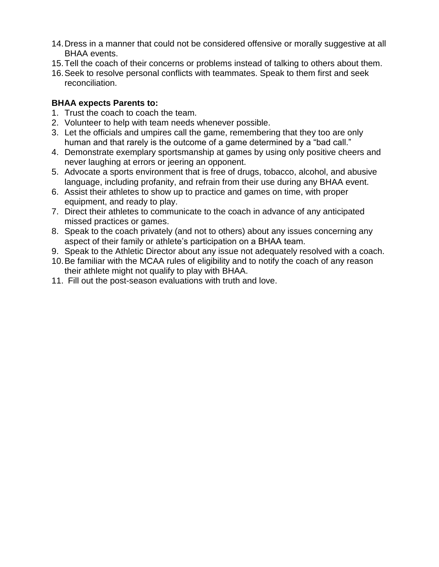- 14.Dress in a manner that could not be considered offensive or morally suggestive at all BHAA events.
- 15.Tell the coach of their concerns or problems instead of talking to others about them.
- 16.Seek to resolve personal conflicts with teammates. Speak to them first and seek reconciliation.

## **BHAA expects Parents to:**

- 1. Trust the coach to coach the team.
- 2. Volunteer to help with team needs whenever possible.
- 3. Let the officials and umpires call the game, remembering that they too are only human and that rarely is the outcome of a game determined by a "bad call."
- 4. Demonstrate exemplary sportsmanship at games by using only positive cheers and never laughing at errors or jeering an opponent.
- 5. Advocate a sports environment that is free of drugs, tobacco, alcohol, and abusive language, including profanity, and refrain from their use during any BHAA event.
- 6. Assist their athletes to show up to practice and games on time, with proper equipment, and ready to play.
- 7. Direct their athletes to communicate to the coach in advance of any anticipated missed practices or games.
- 8. Speak to the coach privately (and not to others) about any issues concerning any aspect of their family or athlete's participation on a BHAA team.
- 9. Speak to the Athletic Director about any issue not adequately resolved with a coach.
- 10.Be familiar with the MCAA rules of eligibility and to notify the coach of any reason their athlete might not qualify to play with BHAA.
- 11. Fill out the post-season evaluations with truth and love.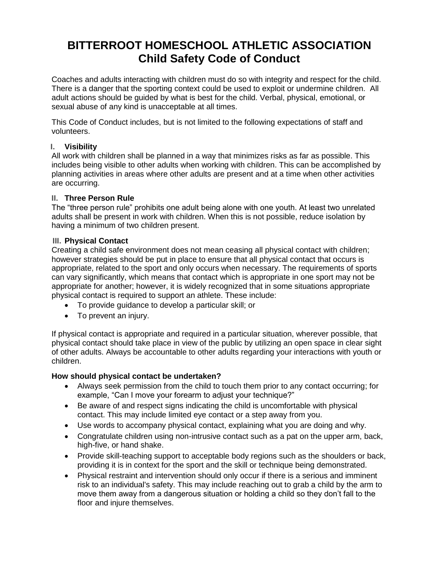# **BITTERROOT HOMESCHOOL ATHLETIC ASSOCIATION Child Safety Code of Conduct**

Coaches and adults interacting with children must do so with integrity and respect for the child. There is a danger that the sporting context could be used to exploit or undermine children. All adult actions should be guided by what is best for the child. Verbal, physical, emotional, or sexual abuse of any kind is unacceptable at all times.

This Code of Conduct includes, but is not limited to the following expectations of staff and volunteers.

## **I. Visibility**

All work with children shall be planned in a way that minimizes risks as far as possible. This includes being visible to other adults when working with children. This can be accomplished by planning activities in areas where other adults are present and at a time when other activities are occurring.

## **II. Three Person Rule**

The "three person rule" prohibits one adult being alone with one youth. At least two unrelated adults shall be present in work with children. When this is not possible, reduce isolation by having a minimum of two children present.

#### **III. Physical Contact**

Creating a child safe environment does not mean ceasing all physical contact with children; however strategies should be put in place to ensure that all physical contact that occurs is appropriate, related to the sport and only occurs when necessary. The requirements of sports can vary significantly, which means that contact which is appropriate in one sport may not be appropriate for another; however, it is widely recognized that in some situations appropriate physical contact is required to support an athlete. These include:

- To provide guidance to develop a particular skill; or
- To prevent an injury.

If physical contact is appropriate and required in a particular situation, wherever possible, that physical contact should take place in view of the public by utilizing an open space in clear sight of other adults. Always be accountable to other adults regarding your interactions with youth or children.

## **How should physical contact be undertaken?**

- Always seek permission from the child to touch them prior to any contact occurring; for example, "Can I move your forearm to adjust your technique?"
- Be aware of and respect signs indicating the child is uncomfortable with physical contact. This may include limited eye contact or a step away from you.
- Use words to accompany physical contact, explaining what you are doing and why.
- Congratulate children using non-intrusive contact such as a pat on the upper arm, back, high-five, or hand shake.
- Provide skill-teaching support to acceptable body regions such as the shoulders or back, providing it is in context for the sport and the skill or technique being demonstrated.
- Physical restraint and intervention should only occur if there is a serious and imminent risk to an individual's safety. This may include reaching out to grab a child by the arm to move them away from a dangerous situation or holding a child so they don't fall to the floor and injure themselves.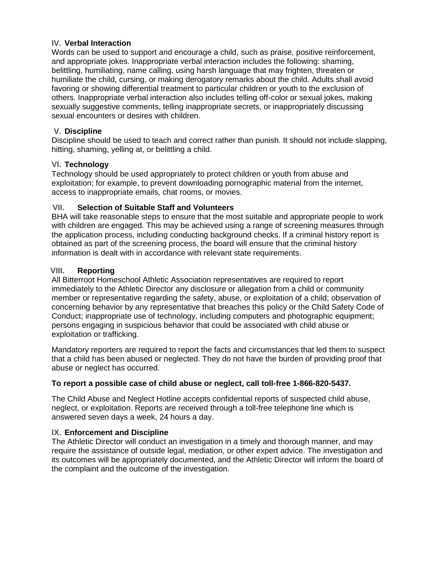#### **IV. Verbal Interaction**

Words can be used to support and encourage a child, such as praise, positive reinforcement, and appropriate jokes. Inappropriate verbal interaction includes the following: shaming, belittling, humiliating, name calling, using harsh language that may frighten, threaten or humiliate the child, cursing, or making derogatory remarks about the child. Adults shall avoid favoring or showing differential treatment to particular children or youth to the exclusion of others. Inappropriate verbal interaction also includes telling off-color or sexual jokes, making sexually suggestive comments, telling inappropriate secrets, or inappropriately discussing sexual encounters or desires with children.

## **V. Discipline**

Discipline should be used to teach and correct rather than punish. It should not include slapping, hitting, shaming, yelling at, or belittling a child.

#### **VI. Technology**

Technology should be used appropriately to protect children or youth from abuse and exploitation; for example, to prevent downloading pornographic material from the internet, access to inappropriate emails, chat rooms, or movies.

## **VII. Selection of Suitable Staff and Volunteers**

BHA will take reasonable steps to ensure that the most suitable and appropriate people to work with children are engaged. This may be achieved using a range of screening measures through the application process, including conducting background checks. If a criminal history report is obtained as part of the screening process, the board will ensure that the criminal history information is dealt with in accordance with relevant state requirements.

#### **VIII. Reporting**

All Bitterroot Homeschool Athletic Association representatives are required to report immediately to the Athletic Director any disclosure or allegation from a child or community member or representative regarding the safety, abuse, or exploitation of a child; observation of concerning behavior by any representative that breaches this policy or the Child Safety Code of Conduct; inappropriate use of technology, including computers and photographic equipment; persons engaging in suspicious behavior that could be associated with child abuse or exploitation or trafficking.

Mandatory reporters are required to report the facts and circumstances that led them to suspect that a child has been abused or neglected. They do not have the burden of providing proof that abuse or neglect has occurred.

## **To report a possible case of child abuse or neglect, call toll-free 1-866-820-5437.**

The Child Abuse and Neglect Hotline accepts confidential reports of suspected child abuse, neglect, or exploitation. Reports are received through a toll-free telephone line which is answered seven days a week, 24 hours a day.

#### **IX. Enforcement and Discipline**

The Athletic Director will conduct an investigation in a timely and thorough manner, and may require the assistance of outside legal, mediation, or other expert advice. The investigation and its outcomes will be appropriately documented, and the Athletic Director will inform the board of the complaint and the outcome of the investigation.